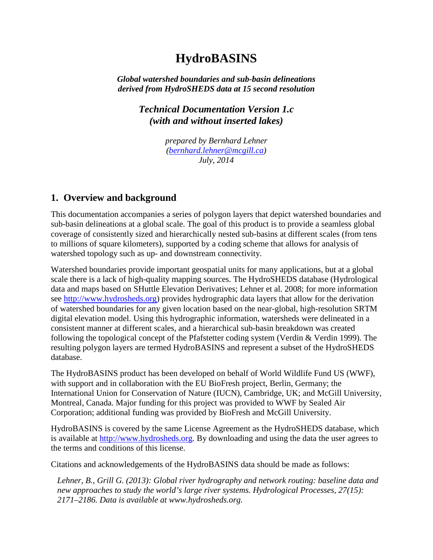# **HydroBASINS**

*Global watershed boundaries and sub-basin delineations derived from HydroSHEDS data at 15 second resolution*

> *Technical Documentation Version 1.c (with and without inserted lakes)*

> > *prepared by Bernhard Lehner [\(bernhard.lehner@mcgill.ca\)](mailto:bernhard.lehner@mcgill.ca) July, 2014*

## **1. Overview and background**

This documentation accompanies a series of polygon layers that depict watershed boundaries and sub-basin delineations at a global scale. The goal of this product is to provide a seamless global coverage of consistently sized and hierarchically nested sub-basins at different scales (from tens to millions of square kilometers), supported by a coding scheme that allows for analysis of watershed topology such as up- and downstream connectivity.

Watershed boundaries provide important geospatial units for many applications, but at a global scale there is a lack of high-quality mapping sources. The HydroSHEDS database (Hydrological data and maps based on SHuttle Elevation Derivatives; Lehner et al. 2008; for more information see [http://www.hydrosheds.org\)](http://www.hydrosheds.org/) provides hydrographic data layers that allow for the derivation of watershed boundaries for any given location based on the near-global, high-resolution SRTM digital elevation model. Using this hydrographic information, watersheds were delineated in a consistent manner at different scales, and a hierarchical sub-basin breakdown was created following the topological concept of the Pfafstetter coding system (Verdin & Verdin 1999). The resulting polygon layers are termed HydroBASINS and represent a subset of the HydroSHEDS database.

The HydroBASINS product has been developed on behalf of World Wildlife Fund US (WWF), with support and in collaboration with the EU BioFresh project, Berlin, Germany; the International Union for Conservation of Nature (IUCN), Cambridge, UK; and McGill University, Montreal, Canada. Major funding for this project was provided to WWF by Sealed Air Corporation; additional funding was provided by BioFresh and McGill University.

HydroBASINS is covered by the same License Agreement as the HydroSHEDS database, which is available at [http://www.hydrosheds.org.](http://www.hydrosheds.org/) By downloading and using the data the user agrees to the terms and conditions of this license.

Citations and acknowledgements of the HydroBASINS data should be made as follows:

*Lehner, B., Grill G. (2013): Global river hydrography and network routing: baseline data and new approaches to study the world's large river systems. Hydrological Processes, 27(15): 2171–2186. Data is available at www.hydrosheds.org.*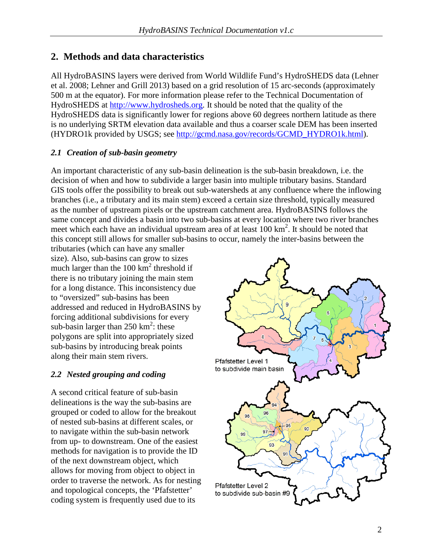# **2. Methods and data characteristics**

All HydroBASINS layers were derived from World Wildlife Fund's HydroSHEDS data (Lehner et al. 2008; Lehner and Grill 2013) based on a grid resolution of 15 arc-seconds (approximately 500 m at the equator). For more information please refer to the Technical Documentation of HydroSHEDS at [http://www.hydrosheds.org.](http://www.hydrosheds.org/) It should be noted that the quality of the HydroSHEDS data is significantly lower for regions above 60 degrees northern latitude as there is no underlying SRTM elevation data available and thus a coarser scale DEM has been inserted (HYDRO1k provided by USGS; see [http://gcmd.nasa.gov/records/GCMD\\_HYDRO1k.html\)](http://gcmd.nasa.gov/records/GCMD_HYDRO1k.html).

#### *2.1 Creation of sub-basin geometry*

An important characteristic of any sub-basin delineation is the sub-basin breakdown, i.e. the decision of when and how to subdivide a larger basin into multiple tributary basins. Standard GIS tools offer the possibility to break out sub-watersheds at any confluence where the inflowing branches (i.e., a tributary and its main stem) exceed a certain size threshold, typically measured as the number of upstream pixels or the upstream catchment area. HydroBASINS follows the same concept and divides a basin into two sub-basins at every location where two river branches meet which each have an individual upstream area of at least  $100 \text{ km}^2$ . It should be noted that this concept still allows for smaller sub-basins to occur, namely the inter-basins between the

tributaries (which can have any smaller size). Also, sub-basins can grow to sizes much larger than the  $100 \text{ km}^2$  threshold if there is no tributary joining the main stem for a long distance. This inconsistency due to "oversized" sub-basins has been addressed and reduced in HydroBASINS by forcing additional subdivisions for every sub-basin larger than  $250 \text{ km}^2$ : these polygons are split into appropriately sized sub-basins by introducing break points along their main stem rivers.

## *2.2 Nested grouping and coding*

A second critical feature of sub-basin delineations is the way the sub-basins are grouped or coded to allow for the breakout of nested sub-basins at different scales, or to navigate within the sub-basin network from up- to downstream. One of the easiest methods for navigation is to provide the ID of the next downstream object, which allows for moving from object to object in order to traverse the network. As for nesting and topological concepts, the 'Pfafstetter' coding system is frequently used due to its

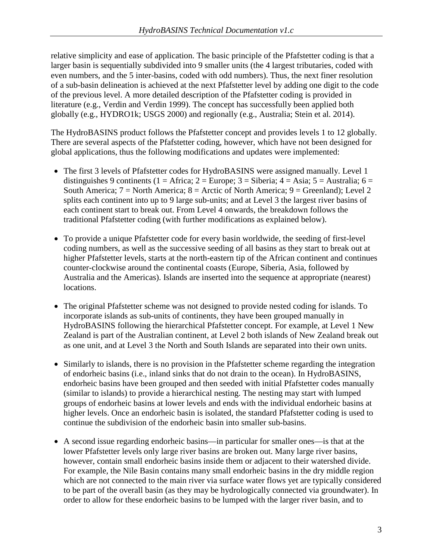relative simplicity and ease of application. The basic principle of the Pfafstetter coding is that a larger basin is sequentially subdivided into 9 smaller units (the 4 largest tributaries, coded with even numbers, and the 5 inter-basins, coded with odd numbers). Thus, the next finer resolution of a sub-basin delineation is achieved at the next Pfafstetter level by adding one digit to the code of the previous level. A more detailed description of the Pfafstetter coding is provided in literature (e.g., Verdin and Verdin 1999). The concept has successfully been applied both globally (e.g., HYDRO1k; USGS 2000) and regionally (e.g., Australia; Stein et al. 2014).

The HydroBASINS product follows the Pfafstetter concept and provides levels 1 to 12 globally. There are several aspects of the Pfafstetter coding, however, which have not been designed for global applications, thus the following modifications and updates were implemented:

- The first 3 levels of Pfafstetter codes for HydroBASINS were assigned manually. Level 1 distinguishes 9 continents (1 = Africa; 2 = Europe; 3 = Siberia; 4 = Asia; 5 = Australia; 6 = South America;  $7 =$  North America;  $8 =$  Arctic of North America;  $9 =$  Greenland); Level 2 splits each continent into up to 9 large sub-units; and at Level 3 the largest river basins of each continent start to break out. From Level 4 onwards, the breakdown follows the traditional Pfafstetter coding (with further modifications as explained below).
- To provide a unique Pfafstetter code for every basin worldwide, the seeding of first-level coding numbers, as well as the successive seeding of all basins as they start to break out at higher Pfafstetter levels, starts at the north-eastern tip of the African continent and continues counter-clockwise around the continental coasts (Europe, Siberia, Asia, followed by Australia and the Americas). Islands are inserted into the sequence at appropriate (nearest) locations.
- The original Pfafstetter scheme was not designed to provide nested coding for islands. To incorporate islands as sub-units of continents, they have been grouped manually in HydroBASINS following the hierarchical Pfafstetter concept. For example, at Level 1 New Zealand is part of the Australian continent, at Level 2 both islands of New Zealand break out as one unit, and at Level 3 the North and South Islands are separated into their own units.
- Similarly to islands, there is no provision in the Pfafstetter scheme regarding the integration of endorheic basins (i.e., inland sinks that do not drain to the ocean). In HydroBASINS, endorheic basins have been grouped and then seeded with initial Pfafstetter codes manually (similar to islands) to provide a hierarchical nesting. The nesting may start with lumped groups of endorheic basins at lower levels and ends with the individual endorheic basins at higher levels. Once an endorheic basin is isolated, the standard Pfafstetter coding is used to continue the subdivision of the endorheic basin into smaller sub-basins.
- A second issue regarding endorheic basins—in particular for smaller ones—is that at the lower Pfafstetter levels only large river basins are broken out. Many large river basins, however, contain small endorheic basins inside them or adjacent to their watershed divide. For example, the Nile Basin contains many small endorheic basins in the dry middle region which are not connected to the main river via surface water flows yet are typically considered to be part of the overall basin (as they may be hydrologically connected via groundwater). In order to allow for these endorheic basins to be lumped with the larger river basin, and to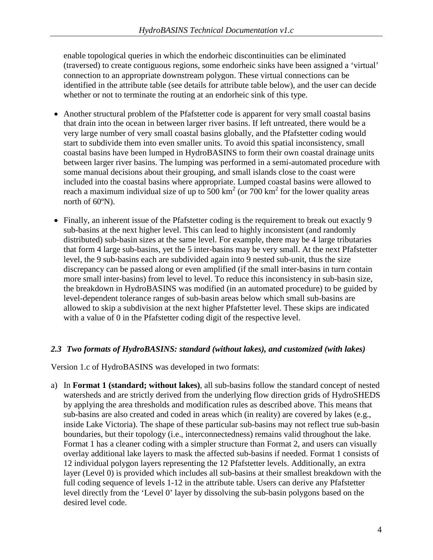enable topological queries in which the endorheic discontinuities can be eliminated (traversed) to create contiguous regions, some endorheic sinks have been assigned a 'virtual' connection to an appropriate downstream polygon. These virtual connections can be identified in the attribute table (see details for attribute table below), and the user can decide whether or not to terminate the routing at an endorheic sink of this type.

- Another structural problem of the Pfafstetter code is apparent for very small coastal basins that drain into the ocean in between larger river basins. If left untreated, there would be a very large number of very small coastal basins globally, and the Pfafstetter coding would start to subdivide them into even smaller units. To avoid this spatial inconsistency, small coastal basins have been lumped in HydroBASINS to form their own coastal drainage units between larger river basins. The lumping was performed in a semi-automated procedure with some manual decisions about their grouping, and small islands close to the coast were included into the coastal basins where appropriate. Lumped coastal basins were allowed to reach a maximum individual size of up to  $500 \text{ km}^2$  (or  $700 \text{ km}^2$  for the lower quality areas north of 60ºN).
- Finally, an inherent issue of the Pfafstetter coding is the requirement to break out exactly 9 sub-basins at the next higher level. This can lead to highly inconsistent (and randomly distributed) sub-basin sizes at the same level. For example, there may be 4 large tributaries that form 4 large sub-basins, yet the 5 inter-basins may be very small. At the next Pfafstetter level, the 9 sub-basins each are subdivided again into 9 nested sub-unit, thus the size discrepancy can be passed along or even amplified (if the small inter-basins in turn contain more small inter-basins) from level to level. To reduce this inconsistency in sub-basin size, the breakdown in HydroBASINS was modified (in an automated procedure) to be guided by level-dependent tolerance ranges of sub-basin areas below which small sub-basins are allowed to skip a subdivision at the next higher Pfafstetter level. These skips are indicated with a value of 0 in the Pfafstetter coding digit of the respective level.

#### *2.3 Two formats of HydroBASINS: standard (without lakes), and customized (with lakes)*

Version 1.c of HydroBASINS was developed in two formats:

a) In **Format 1 (standard; without lakes)**, all sub-basins follow the standard concept of nested watersheds and are strictly derived from the underlying flow direction grids of HydroSHEDS by applying the area thresholds and modification rules as described above. This means that sub-basins are also created and coded in areas which (in reality) are covered by lakes (e.g., inside Lake Victoria). The shape of these particular sub-basins may not reflect true sub-basin boundaries, but their topology (i.e., interconnectedness) remains valid throughout the lake. Format 1 has a cleaner coding with a simpler structure than Format 2, and users can visually overlay additional lake layers to mask the affected sub-basins if needed. Format 1 consists of 12 individual polygon layers representing the 12 Pfafstetter levels. Additionally, an extra layer (Level 0) is provided which includes all sub-basins at their smallest breakdown with the full coding sequence of levels 1-12 in the attribute table. Users can derive any Pfafstetter level directly from the 'Level 0' layer by dissolving the sub-basin polygons based on the desired level code.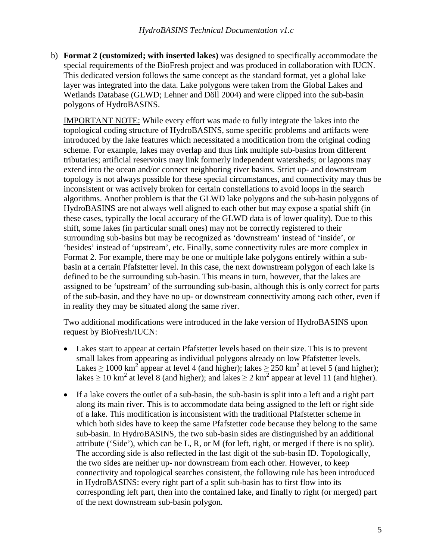b) **Format 2 (customized; with inserted lakes)** was designed to specifically accommodate the special requirements of the BioFresh project and was produced in collaboration with IUCN. This dedicated version follows the same concept as the standard format, yet a global lake layer was integrated into the data. Lake polygons were taken from the Global Lakes and Wetlands Database (GLWD; Lehner and Döll 2004) and were clipped into the sub-basin polygons of HydroBASINS.

IMPORTANT NOTE: While every effort was made to fully integrate the lakes into the topological coding structure of HydroBASINS, some specific problems and artifacts were introduced by the lake features which necessitated a modification from the original coding scheme. For example, lakes may overlap and thus link multiple sub-basins from different tributaries; artificial reservoirs may link formerly independent watersheds; or lagoons may extend into the ocean and/or connect neighboring river basins. Strict up- and downstream topology is not always possible for these special circumstances, and connectivity may thus be inconsistent or was actively broken for certain constellations to avoid loops in the search algorithms. Another problem is that the GLWD lake polygons and the sub-basin polygons of HydroBASINS are not always well aligned to each other but may expose a spatial shift (in these cases, typically the local accuracy of the GLWD data is of lower quality). Due to this shift, some lakes (in particular small ones) may not be correctly registered to their surrounding sub-basins but may be recognized as 'downstream' instead of 'inside', or 'besides' instead of 'upstream', etc. Finally, some connectivity rules are more complex in Format 2. For example, there may be one or multiple lake polygons entirely within a subbasin at a certain Pfafstetter level. In this case, the next downstream polygon of each lake is defined to be the surrounding sub-basin. This means in turn, however, that the lakes are assigned to be 'upstream' of the surrounding sub-basin, although this is only correct for parts of the sub-basin, and they have no up- or downstream connectivity among each other, even if in reality they may be situated along the same river.

Two additional modifications were introduced in the lake version of HydroBASINS upon request by BioFresh/IUCN:

- Lakes start to appear at certain Pfafstetter levels based on their size. This is to prevent small lakes from appearing as individual polygons already on low Pfafstetter levels. Lakes  $\geq 1000 \text{ km}^2$  appear at level 4 (and higher); lakes  $\geq 250 \text{ km}^2$  at level 5 (and higher); lakes  $\geq 10$  km<sup>2</sup> at level 8 (and higher); and lakes  $\geq 2$  km<sup>2</sup> appear at level 11 (and higher).
- If a lake covers the outlet of a sub-basin, the sub-basin is split into a left and a right part along its main river. This is to accommodate data being assigned to the left or right side of a lake. This modification is inconsistent with the traditional Pfafstetter scheme in which both sides have to keep the same Pfafstetter code because they belong to the same sub-basin. In HydroBASINS, the two sub-basin sides are distinguished by an additional attribute ('Side'), which can be L, R, or M (for left, right, or merged if there is no split). The according side is also reflected in the last digit of the sub-basin ID. Topologically, the two sides are neither up- nor downstream from each other. However, to keep connectivity and topological searches consistent, the following rule has been introduced in HydroBASINS: every right part of a split sub-basin has to first flow into its corresponding left part, then into the contained lake, and finally to right (or merged) part of the next downstream sub-basin polygon.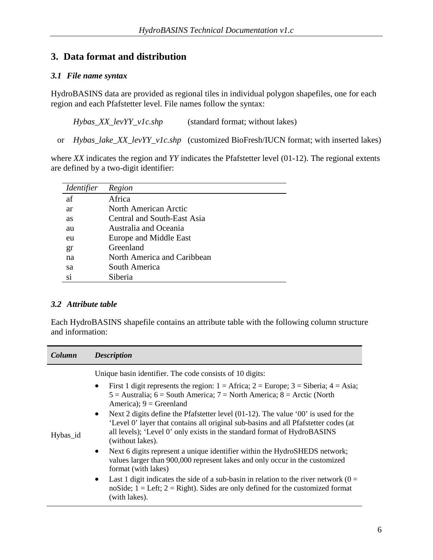# **3. Data format and distribution**

#### *3.1 File name syntax*

HydroBASINS data are provided as regional tiles in individual polygon shapefiles, one for each region and each Pfafstetter level. File names follow the syntax:

*Hybas\_XX\_levYY\_v1c.shp* (standard format; without lakes)

or *Hybas\_lake\_XX\_levYY\_v1c.shp* (customized BioFresh/IUCN format; with inserted lakes)

where *XX* indicates the region and *YY* indicates the Pfafstetter level (01-12). The regional extents are defined by a two-digit identifier:

| Identifier | Region                      |
|------------|-----------------------------|
| af         | Africa                      |
| ar         | North American Arctic       |
| <b>as</b>  | Central and South-East Asia |
| au         | Australia and Oceania       |
| eu         | Europe and Middle East      |
| gr         | Greenland                   |
| na         | North America and Caribbean |
| sa         | South America               |
| si         | Siberia                     |

#### *3.2 Attribute table*

Each HydroBASINS shapefile contains an attribute table with the following column structure and information:

| Column   | <b>Description</b>                                                                                                                                                                                                                                                                                                                                                                                                                                                                                                                                                                                                                                                                                                                                                                                                                                                                                                                                                                            |
|----------|-----------------------------------------------------------------------------------------------------------------------------------------------------------------------------------------------------------------------------------------------------------------------------------------------------------------------------------------------------------------------------------------------------------------------------------------------------------------------------------------------------------------------------------------------------------------------------------------------------------------------------------------------------------------------------------------------------------------------------------------------------------------------------------------------------------------------------------------------------------------------------------------------------------------------------------------------------------------------------------------------|
| Hybas_id | Unique basin identifier. The code consists of 10 digits:<br>First 1 digit represents the region: $1 =$ Africa; $2 =$ Europe; $3 =$ Siberia; $4 =$ Asia;<br>$\bullet$<br>$5 =$ Australia; $6 =$ South America; $7 =$ North America; $8 =$ Arctic (North<br>America); $9 =$ Greenland<br>Next 2 digits define the Pfafstetter level (01-12). The value '00' is used for the<br>$\bullet$<br>'Level 0' layer that contains all original sub-basins and all Pfafstetter codes (at<br>all levels); 'Level 0' only exists in the standard format of HydroBASINS<br>(without lakes).<br>Next 6 digits represent a unique identifier within the HydroSHEDS network;<br>$\bullet$<br>values larger than 900,000 represent lakes and only occur in the customized<br>format (with lakes)<br>Last 1 digit indicates the side of a sub-basin in relation to the river network ( $0 =$<br>$\bullet$<br>noSide; $1 =$ Left; $2 =$ Right). Sides are only defined for the customized format<br>(with lakes). |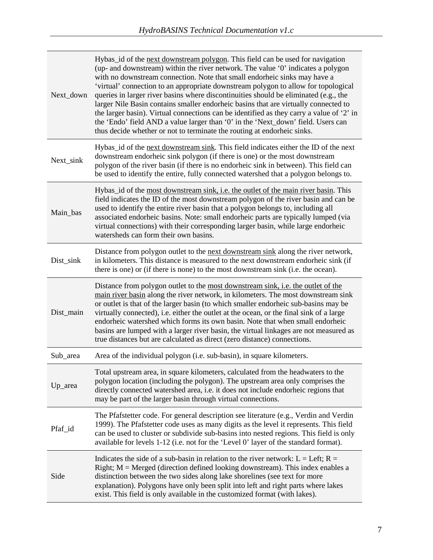| Next_down | Hybas_id of the next downstream polygon. This field can be used for navigation<br>(up- and downstream) within the river network. The value '0' indicates a polygon<br>with no downstream connection. Note that small endorheic sinks may have a<br>'virtual' connection to an appropriate downstream polygon to allow for topological<br>queries in larger river basins where discontinuities should be eliminated (e.g., the<br>larger Nile Basin contains smaller endorheic basins that are virtually connected to<br>the larger basin). Virtual connections can be identified as they carry a value of '2' in<br>the 'Endo' field AND a value larger than '0' in the 'Next_down' field. Users can<br>thus decide whether or not to terminate the routing at endorheic sinks. |
|-----------|---------------------------------------------------------------------------------------------------------------------------------------------------------------------------------------------------------------------------------------------------------------------------------------------------------------------------------------------------------------------------------------------------------------------------------------------------------------------------------------------------------------------------------------------------------------------------------------------------------------------------------------------------------------------------------------------------------------------------------------------------------------------------------|
| Next_sink | Hybas_id of the next downstream sink. This field indicates either the ID of the next<br>downstream endorheic sink polygon (if there is one) or the most downstream<br>polygon of the river basin (if there is no endorheic sink in between). This field can<br>be used to identify the entire, fully connected watershed that a polygon belongs to.                                                                                                                                                                                                                                                                                                                                                                                                                             |
| Main bas  | Hybas_id of the most downstream sink, i.e. the outlet of the main river basin. This<br>field indicates the ID of the most downstream polygon of the river basin and can be<br>used to identify the entire river basin that a polygon belongs to, including all<br>associated endorheic basins. Note: small endorheic parts are typically lumped (via<br>virtual connections) with their corresponding larger basin, while large endorheic<br>watersheds can form their own basins.                                                                                                                                                                                                                                                                                              |
| Dist_sink | Distance from polygon outlet to the <u>next downstream sink</u> along the river network,<br>in kilometers. This distance is measured to the next downstream endorheic sink (if<br>there is one) or (if there is none) to the most downstream sink (i.e. the ocean).                                                                                                                                                                                                                                                                                                                                                                                                                                                                                                             |
| Dist_main | Distance from polygon outlet to the most downstream sink, <i>i.e.</i> the outlet of the<br>main river basin along the river network, in kilometers. The most downstream sink<br>or outlet is that of the larger basin (to which smaller endorheic sub-basins may be<br>virtually connected), i.e. either the outlet at the ocean, or the final sink of a large<br>endorheic watershed which forms its own basin. Note that when small endorheic<br>basins are lumped with a larger river basin, the virtual linkages are not measured as<br>true distances but are calculated as direct (zero distance) connections.                                                                                                                                                            |
| Sub_area  | Area of the individual polygon (i.e. sub-basin), in square kilometers.                                                                                                                                                                                                                                                                                                                                                                                                                                                                                                                                                                                                                                                                                                          |
| Up_area   | Total upstream area, in square kilometers, calculated from the headwaters to the<br>polygon location (including the polygon). The upstream area only comprises the<br>directly connected watershed area, i.e. it does not include endorheic regions that<br>may be part of the larger basin through virtual connections.                                                                                                                                                                                                                                                                                                                                                                                                                                                        |
| Pfaf_id   | The Pfafstetter code. For general description see literature (e.g., Verdin and Verdin<br>1999). The Pfafstetter code uses as many digits as the level it represents. This field<br>can be used to cluster or subdivide sub-basins into nested regions. This field is only<br>available for levels 1-12 (i.e. not for the 'Level 0' layer of the standard format).                                                                                                                                                                                                                                                                                                                                                                                                               |
| Side      | Indicates the side of a sub-basin in relation to the river network: L = Left; R =<br>Right; $M = M - M$ (direction defined looking downstream). This index enables a<br>distinction between the two sides along lake shorelines (see text for more<br>explanation). Polygons have only been split into left and right parts where lakes                                                                                                                                                                                                                                                                                                                                                                                                                                         |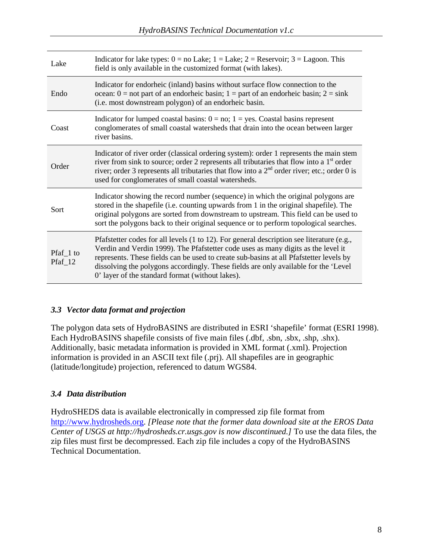| Lake                              | Indicator for lake types: $0 = no$ Lake; $1 =$ Lake; $2 =$ Reservoir; $3 =$ Lagoon. This<br>field is only available in the customized format (with lakes).                                                                                                                                                                                                                                                          |
|-----------------------------------|---------------------------------------------------------------------------------------------------------------------------------------------------------------------------------------------------------------------------------------------------------------------------------------------------------------------------------------------------------------------------------------------------------------------|
| Endo                              | Indicator for endorheic (inland) basins without surface flow connection to the<br>ocean: $0 =$ not part of an endorheic basin; $1 =$ part of an endorheic basin; $2 =$ sink<br>(i.e. most downstream polygon) of an endorheic basin.                                                                                                                                                                                |
| Coast                             | Indicator for lumped coastal basins: $0 = no$ ; $1 = yes$ . Coastal basins represent<br>conglomerates of small coastal watersheds that drain into the ocean between larger<br>river basins.                                                                                                                                                                                                                         |
| Order                             | Indicator of river order (classical ordering system): order 1 represents the main stem<br>river from sink to source; order 2 represents all tributaries that flow into a 1 <sup>st</sup> order<br>river; order 3 represents all tributaries that flow into a $2nd$ order river; etc.; order 0 is<br>used for conglomerates of small coastal watersheds.                                                             |
| Sort                              | Indicator showing the record number (sequence) in which the original polygons are<br>stored in the shapefile (i.e. counting upwards from 1 in the original shapefile). The<br>original polygons are sorted from downstream to upstream. This field can be used to<br>sort the polygons back to their original sequence or to perform topological searches.                                                          |
| Pfaf <sub>1</sub> to<br>$Pfaf_12$ | Pfafstetter codes for all levels (1 to 12). For general description see literature (e.g.,<br>Verdin and Verdin 1999). The Pfafstetter code uses as many digits as the level it<br>represents. These fields can be used to create sub-basins at all Pfafstetter levels by<br>dissolving the polygons accordingly. These fields are only available for the 'Level<br>0' layer of the standard format (without lakes). |

#### *3.3 Vector data format and projection*

The polygon data sets of HydroBASINS are distributed in ESRI 'shapefile' format (ESRI 1998). Each HydroBASINS shapefile consists of five main files (.dbf, .sbn, .sbx, .shp, .shx). Additionally, basic metadata information is provided in XML format (.xml). Projection information is provided in an ASCII text file (.prj). All shapefiles are in geographic (latitude/longitude) projection, referenced to datum WGS84.

#### *3.4 Data distribution*

HydroSHEDS data is available electronically in compressed zip file format from [http://www.hydrosheds.org.](http://www.hydrosheds.org/) *[Please note that the former data download site at the EROS Data Center of USGS at http://hydrosheds.cr.usgs.gov is now discontinued.]* To use the data files, the zip files must first be decompressed. Each zip file includes a copy of the HydroBASINS Technical Documentation.